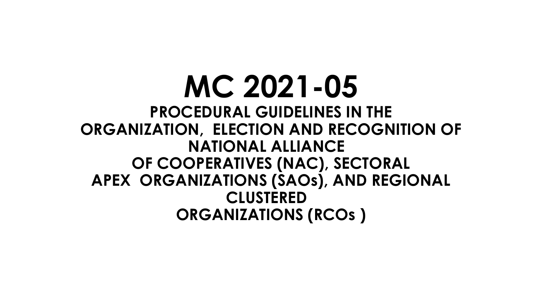**MC 2021-05 PROCEDURAL GUIDELINES IN THE ORGANIZATION, ELECTION AND RECOGNITION OF NATIONAL ALLIANCE OF COOPERATIVES (NAC), SECTORAL APEX ORGANIZATIONS (SAOs), AND REGIONAL CLUSTERED ORGANIZATIONS (RCOs )**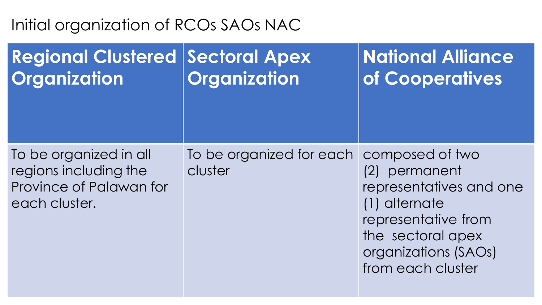#### **Regional Clustered | Sectoral Apex Organization Organization National Alliance of Cooperatives** To be organized in all regions including the Province of Palawan for each cluster. To be organized for each composed of two cluster (2) permanent representatives and one (1) alternate representative from

the sectoral apex organizations (SAOs) from each cluster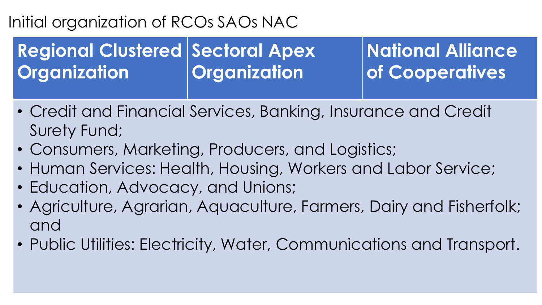### **Regional Clustered | Sectoral Apex Organization Organization**

- Credit and Financial Services, Banking, Insurance and Credit Surety Fund;
- Consumers, Marketing, Producers, and Logistics;
- Human Services: Health, Housing, Workers and Labor Service;
- Education, Advocacy, and Unions;
- Agriculture, Agrarian, Aquaculture, Farmers, Dairy and Fisherfolk; and
- Public Utilities: Electricity, Water, Communications and Transport.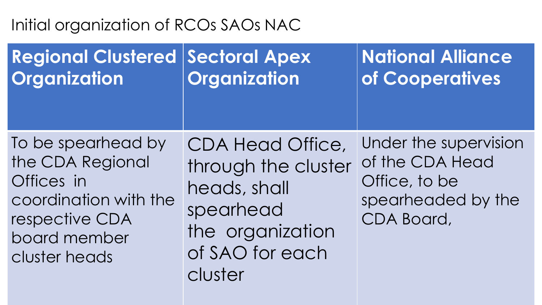| <b>Regional Clustered</b>                                                                                                        | Sectoral Apex                                                                                                                 | <b>National Alliance</b>                                                                      |
|----------------------------------------------------------------------------------------------------------------------------------|-------------------------------------------------------------------------------------------------------------------------------|-----------------------------------------------------------------------------------------------|
| Organization                                                                                                                     | Organization                                                                                                                  | of Cooperatives                                                                               |
| To be spearhead by<br>the CDA Regional<br>Offices in<br>coordination with the<br>respective CDA<br>board member<br>cluster heads | <b>CDA Head Office,</b><br>through the cluster<br>heads, shall<br>spearhead<br>the organization<br>of SAO for each<br>cluster | Under the supervision<br>of the CDA Head<br>Office, to be<br>spearheaded by the<br>CDA Board, |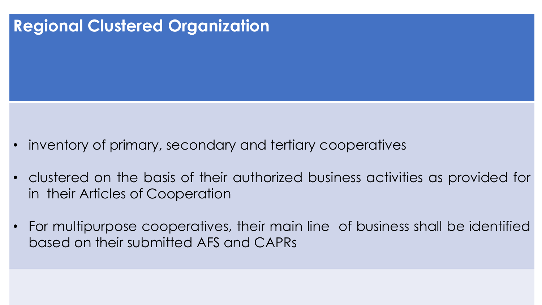- inventory of primary, secondary and tertiary cooperatives
- clustered on the basis of their authorized business activities as provided for in their Articles of Cooperation
- For multipurpose cooperatives, their main line of business shall be identified based on their submitted AFS and CAPRs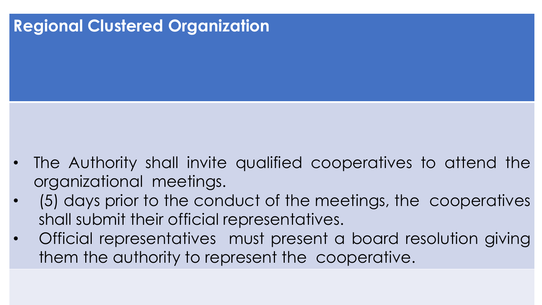- The Authority shall invite qualified cooperatives to attend the organizational meetings.
- (5) days prior to the conduct of the meetings, the cooperatives shall submit their official representatives.
- Official representatives must present a board resolution giving them the authority to represent the cooperative.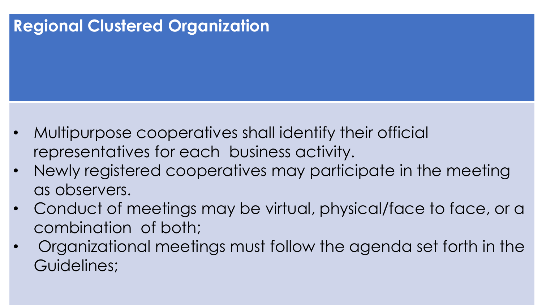- Multipurpose cooperatives shall identify their official representatives for each business activity.
- Newly registered cooperatives may participate in the meeting as observers.
- Conduct of meetings may be virtual, physical/face to face, or a combination of both;
- Organizational meetings must follow the agenda set forth in the Guidelines;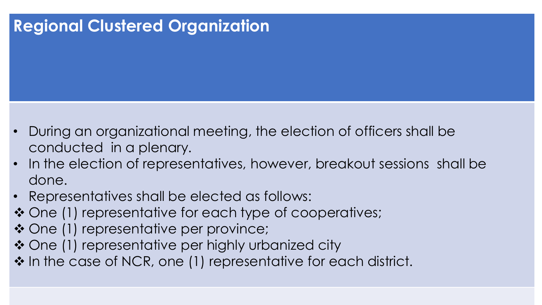- During an organizational meeting, the election of officers shall be conducted in a plenary.
- In the election of representatives, however, breakout sessions shall be done.
- Representatives shall be elected as follows:
- ❖ One (1) representative for each type of cooperatives;
- ◆ One (1) representative per province;
- ◆ One (1) representative per highly urbanized city
- ❖ In the case of NCR, one (1) representative for each district.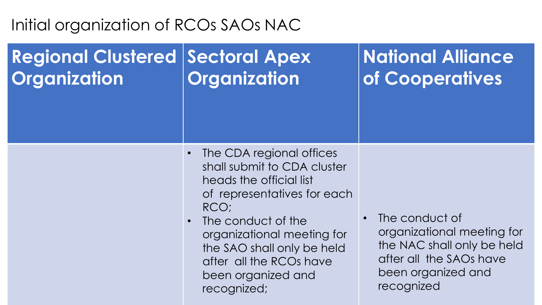#### **Regional Clustered | Sectoral Apex Organization Organization**

- The CDA regional offices shall submit to CDA cluster heads the official list of representatives for each RCO;
- The conduct of the organizational meeting for the SAO shall only be held after all the RCOs have been organized and recognized;
- The conduct of organizational meeting for the NAC shall only be held after all the SAOs have been organized and recognized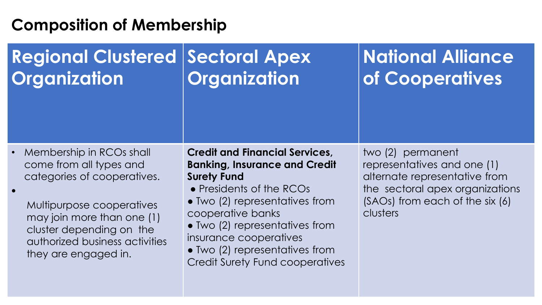#### **Regional Clustered | Sectoral Apex Organization Organization**

# **National Alliance of Cooperatives**

• Membership in RCOs shall come from all types and categories of cooperatives.

•

Multipurpose cooperatives may join more than one (1) cluster depending on the authorized business activities they are engaged in.

#### **Credit and Financial Services, Banking, Insurance and Credit Surety Fund**

- Presidents of the RCOs
- Two (2) representatives from cooperative banks
- Two (2) representatives from insurance cooperatives
- Two (2) representatives from Credit Surety Fund cooperatives

two (2) permanent representatives and one (1) alternate representative from the sectoral apex organizations (SAOs) from each of the six (6) clusters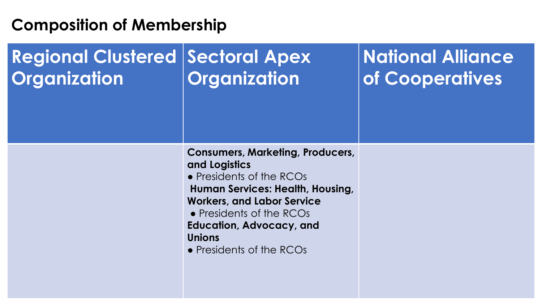#### **Regional Clustered | Sectoral Apex Organization Organization**

# **National Alliance of Cooperatives**

**Consumers, Marketing, Producers, and Logistics**

• Presidents of the RCOs **Human Services: Health, Housing, Workers, and Labor Service**

• Presidents of the RCOs

**Education, Advocacy, and Unions**

• Presidents of the RCOs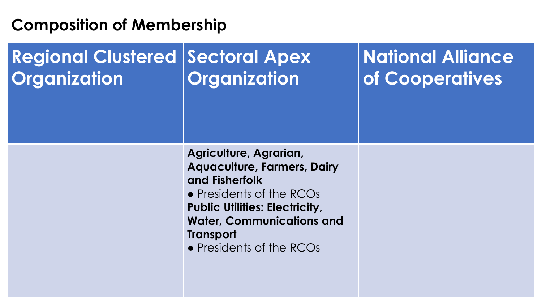#### **Regional Clustered | Sectoral Apex Organization Organization**

# **National Alliance of Cooperatives**

**Agriculture, Agrarian, Aquaculture, Farmers, Dairy and Fisherfolk** • Presidents of the RCOs **Public Utilities: Electricity,** 

**Water, Communications and Transport**

• Presidents of the RCOs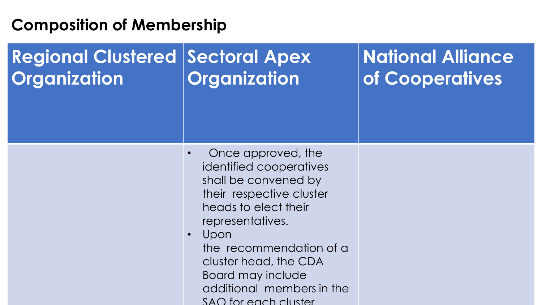#### **Regional Clustered | Sectoral Apex Organization Organization**

- Once approved, the identified cooperatives shall be convened by their respective cluster heads to elect their representatives.
- Upon the recommendation of a cluster head, the CDA Board may include additional members in the SAO for each cluster.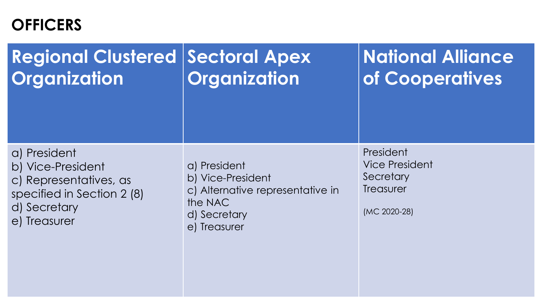## **OFFICERS**

| <b>Regional Clustered Sectoral Apex</b><br>Organization                                                                   | Organization                                                                                                     | <b>National Alliance</b><br>of Cooperatives                                  |
|---------------------------------------------------------------------------------------------------------------------------|------------------------------------------------------------------------------------------------------------------|------------------------------------------------------------------------------|
| a) President<br>b) Vice-President<br>c) Representatives, as<br>specified in Section 2 (8)<br>d) Secretary<br>e) Treasurer | a) President<br>b) Vice-President<br>c) Alternative representative in<br>the NAC<br>d) Secretary<br>e) Treasurer | President<br><b>Vice President</b><br>Secretary<br>Treasurer<br>(MC 2020-28) |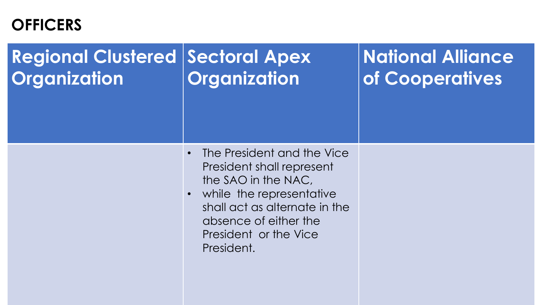## **OFFICERS**

#### **Regional Clustered | Sectoral Apex Organization Organization**

- The President and the Vice President shall represent the SAO in the NAC,
- while the representative shall act as alternate in the absence of either the President or the Vice President.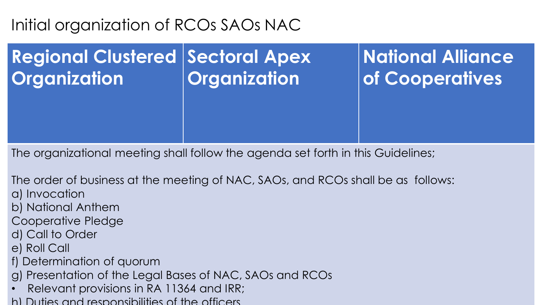#### **Regional Clustered | Sectoral Apex Organization Organization**

**National Alliance of Cooperatives**

The organizational meeting shall follow the agenda set forth in this Guidelines;

The order of business at the meeting of NAC, SAOs, and RCOs shall be as follows: a) Invocation

- b) National Anthem
- Cooperative Pledge
- d) Call to Order
- e) Roll Call
- f) Determination of quorum
- g) Presentation of the Legal Bases of NAC, SAOs and RCOs
- Relevant provisions in RA 11364 and IRR;
- h) Duties and responsibilities of the officers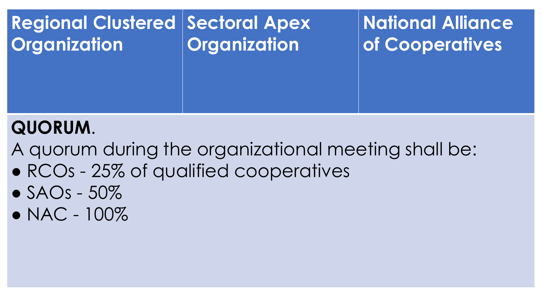

## **QUORUM**.

A quorum during the organizational meeting shall be:

- RCOs 25% of qualified cooperatives
- $\bullet$  SAOs 50\%
- $\bullet$  NAC 100%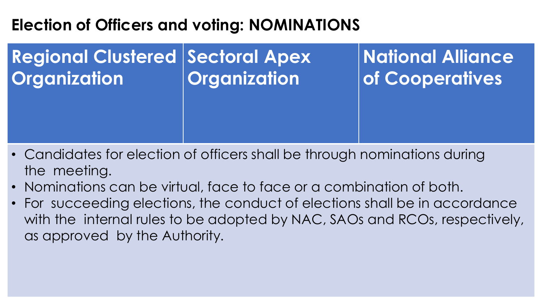## **Election of Officers and voting: NOMINATIONS**

#### **Regional Clustered | Sectoral Apex Organization Organization**

- Candidates for election of officers shall be through nominations during the meeting.
- Nominations can be virtual, face to face or a combination of both.
- For succeeding elections, the conduct of elections shall be in accordance with the internal rules to be adopted by NAC, SAOs and RCOs, respectively, as approved by the Authority.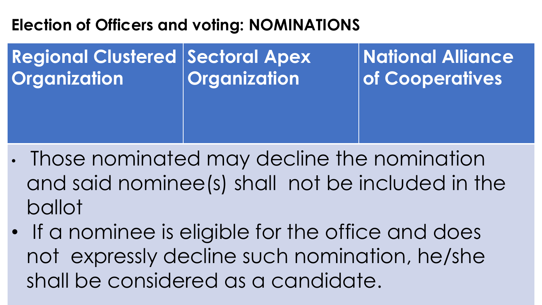## **Election of Officers and voting: NOMINATIONS**

**Regional Clustered | Sectoral Apex Organization Organization**

- Those nominated may decline the nomination and said nominee(s) shall not be included in the ballot
- If a nominee is eligible for the office and does not expressly decline such nomination, he/she shall be considered as a candidate.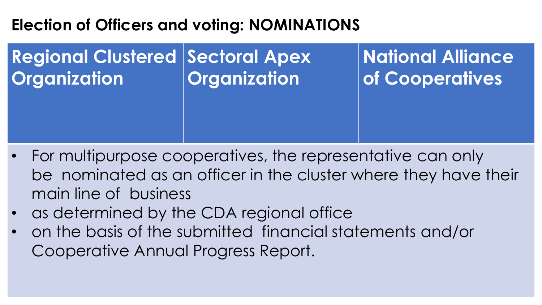## **Election of Officers and voting: NOMINATIONS**

#### **Regional Clustered | Sectoral Apex Organization Organization**

- For multipurpose cooperatives, the representative can only be nominated as an officer in the cluster where they have their main line of business
- as determined by the CDA regional office
- on the basis of the submitted financial statements and/or Cooperative Annual Progress Report.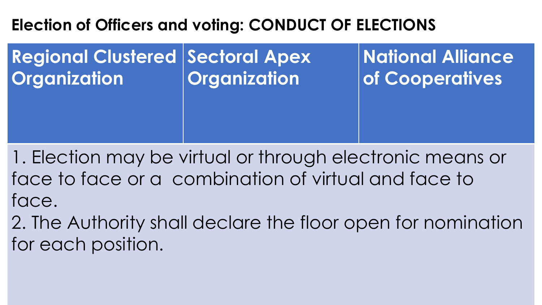## **Election of Officers and voting: CONDUCT OF ELECTIONS**

**Regional Clustered | Sectoral Apex Organization Organization**

**National Alliance of Cooperatives**

1. Election may be virtual or through electronic means or face to face or a combination of virtual and face to face.

2. The Authority shall declare the floor open for nomination for each position.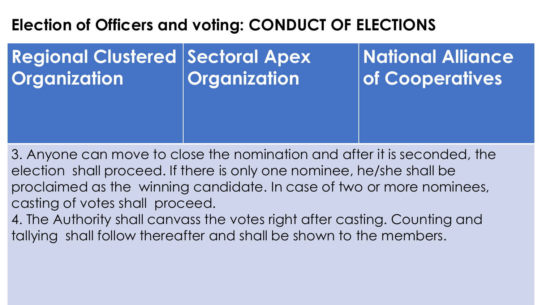## **Election of Officers and voting: CONDUCT OF ELECTIONS**

#### **Regional Clustered | Sectoral Apex Organization Organization**

**National Alliance of Cooperatives**

3. Anyone can move to close the nomination and after it is seconded, the election shall proceed. If there is only one nominee, he/she shall be proclaimed as the winning candidate. In case of two or more nominees, casting of votes shall proceed.

4. The Authority shall canvass the votes right after casting. Counting and tallying shall follow thereafter and shall be shown to the members.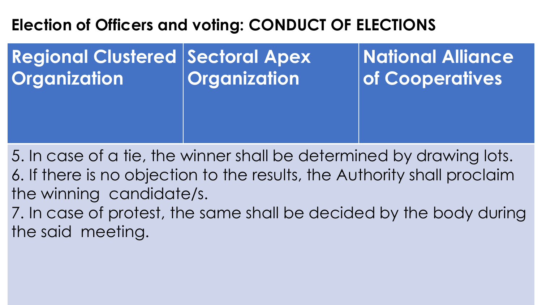## **Election of Officers and voting: CONDUCT OF ELECTIONS**

**Regional Clustered | Sectoral Apex Organization Organization**

**National Alliance of Cooperatives**

5. In case of a tie, the winner shall be determined by drawing lots. 6. If there is no objection to the results, the Authority shall proclaim the winning candidate/s.

7. In case of protest, the same shall be decided by the body during the said meeting.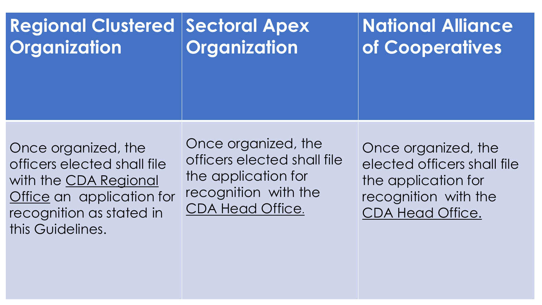| <b>Regional Clustered</b>                                                                                                                                | <b>Sectoral Apex</b>                                                                                                         | <b>National Alliance</b>                                                                                                     |
|----------------------------------------------------------------------------------------------------------------------------------------------------------|------------------------------------------------------------------------------------------------------------------------------|------------------------------------------------------------------------------------------------------------------------------|
| <b>Organization</b>                                                                                                                                      | <b>Organization</b>                                                                                                          | of Cooperatives                                                                                                              |
| Once organized, the<br>officers elected shall file<br>with the CDA Regional<br>Office an application for<br>recognition as stated in<br>this Guidelines. | Once organized, the<br>officers elected shall file<br>the application for<br>recognition with the<br><b>CDA Head Office.</b> | Once organized, the<br>elected officers shall file<br>the application for<br>recognition with the<br><b>CDA Head Office.</b> |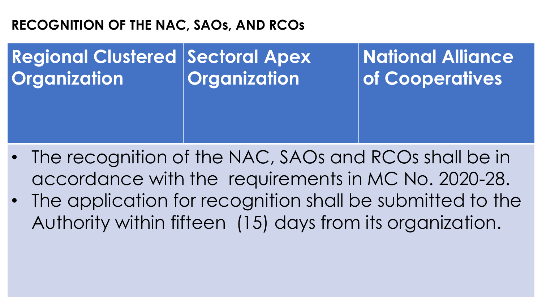### **RECOGNITION OF THE NAC, SAOs, AND RCOs**

#### **Regional Clustered | Sectoral Apex Organization Organization**

- The recognition of the NAC, SAOs and RCOs shall be in accordance with the requirements in MC No. 2020-28.
- The application for recognition shall be submitted to the Authority within fifteen (15) days from its organization.